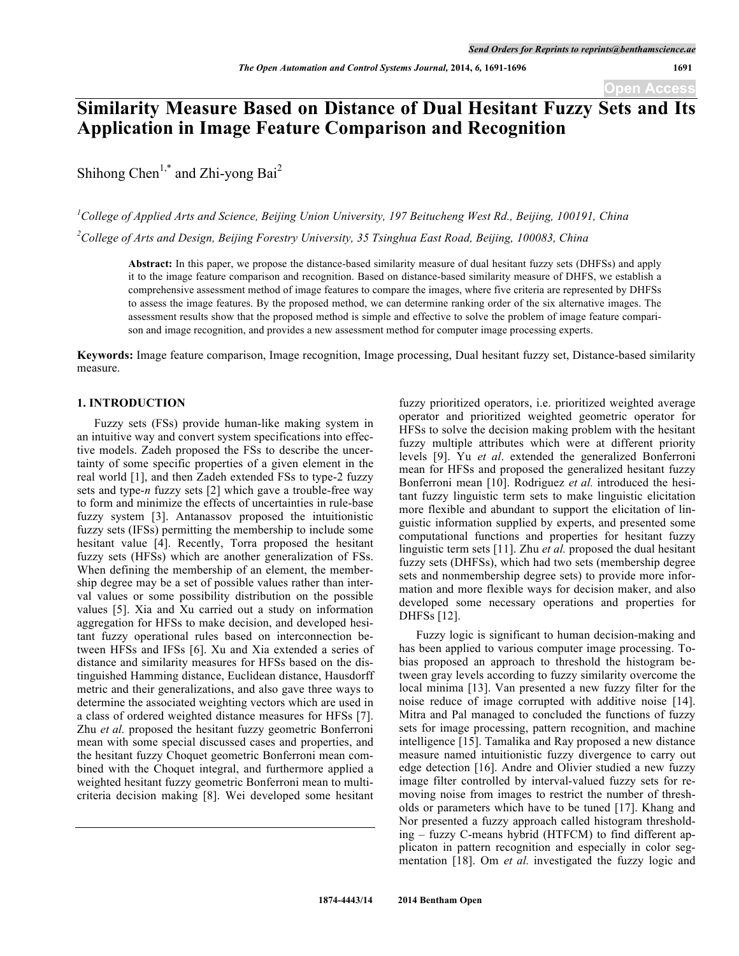# **Similarity Measure Based on Distance of Dual Hesitant Fuzzy Sets and Its Application in Image Feature Comparison and Recognition**

Shihong Chen<sup>1,\*</sup> and Zhi-yong Bai<sup>2</sup>

*1 College of Applied Arts and Science, Beijing Union University, 197 Beitucheng West Rd., Beijing, 100191, China 2 College of Arts and Design, Beijing Forestry University, 35 Tsinghua East Road, Beijing, 100083, China*

**Abstract:** In this paper, we propose the distance-based similarity measure of dual hesitant fuzzy sets (DHFSs) and apply it to the image feature comparison and recognition. Based on distance-based similarity measure of DHFS, we establish a comprehensive assessment method of image features to compare the images, where five criteria are represented by DHFSs to assess the image features. By the proposed method, we can determine ranking order of the six alternative images. The assessment results show that the proposed method is simple and effective to solve the problem of image feature comparison and image recognition, and provides a new assessment method for computer image processing experts.

**Keywords:** Image feature comparison, Image recognition, Image processing, Dual hesitant fuzzy set, Distance-based similarity measure.

## **1. INTRODUCTION**

Fuzzy sets (FSs) provide human-like making system in an intuitive way and convert system specifications into effective models. Zadeh proposed the FSs to describe the uncertainty of some specific properties of a given element in the real world [1], and then Zadeh extended FSs to type-2 fuzzy sets and type-*n* fuzzy sets [2] which gave a trouble-free way to form and minimize the effects of uncertainties in rule-base fuzzy system [3]. Antanassov proposed the intuitionistic fuzzy sets (IFSs) permitting the membership to include some hesitant value [4]. Recently, Torra proposed the hesitant fuzzy sets (HFSs) which are another generalization of FSs. When defining the membership of an element, the membership degree may be a set of possible values rather than interval values or some possibility distribution on the possible values [5]. Xia and Xu carried out a study on information aggregation for HFSs to make decision, and developed hesitant fuzzy operational rules based on interconnection between HFSs and IFSs [6]. Xu and Xia extended a series of distance and similarity measures for HFSs based on the distinguished Hamming distance, Euclidean distance, Hausdorff metric and their generalizations, and also gave three ways to determine the associated weighting vectors which are used in a class of ordered weighted distance measures for HFSs [7]. Zhu *et al.* proposed the hesitant fuzzy geometric Bonferroni mean with some special discussed cases and properties, and the hesitant fuzzy Choquet geometric Bonferroni mean combined with the Choquet integral, and furthermore applied a weighted hesitant fuzzy geometric Bonferroni mean to multicriteria decision making [8]. Wei developed some hesitant

fuzzy prioritized operators, i.e. prioritized weighted average operator and prioritized weighted geometric operator for HFSs to solve the decision making problem with the hesitant fuzzy multiple attributes which were at different priority levels [9]. Yu *et al*. extended the generalized Bonferroni mean for HFSs and proposed the generalized hesitant fuzzy Bonferroni mean [10]. Rodriguez *et al.* introduced the hesitant fuzzy linguistic term sets to make linguistic elicitation more flexible and abundant to support the elicitation of linguistic information supplied by experts, and presented some computational functions and properties for hesitant fuzzy linguistic term sets [11]. Zhu *et al.* proposed the dual hesitant fuzzy sets (DHFSs), which had two sets (membership degree sets and nonmembership degree sets) to provide more information and more flexible ways for decision maker, and also developed some necessary operations and properties for DHFSs [12].

Fuzzy logic is significant to human decision-making and has been applied to various computer image processing. Tobias proposed an approach to threshold the histogram between gray levels according to fuzzy similarity overcome the local minima [13]. Van presented a new fuzzy filter for the noise reduce of image corrupted with additive noise [14]. Mitra and Pal managed to concluded the functions of fuzzy sets for image processing, pattern recognition, and machine intelligence [15]. Tamalika and Ray proposed a new distance measure named intuitionistic fuzzy divergence to carry out edge detection [16]. Andre and Olivier studied a new fuzzy image filter controlled by interval-valued fuzzy sets for removing noise from images to restrict the number of thresholds or parameters which have to be tuned [17]. Khang and Nor presented a fuzzy approach called histogram thresholding – fuzzy C-means hybrid (HTFCM) to find different applicaton in pattern recognition and especially in color segmentation [18]. Om *et al.* investigated the fuzzy logic and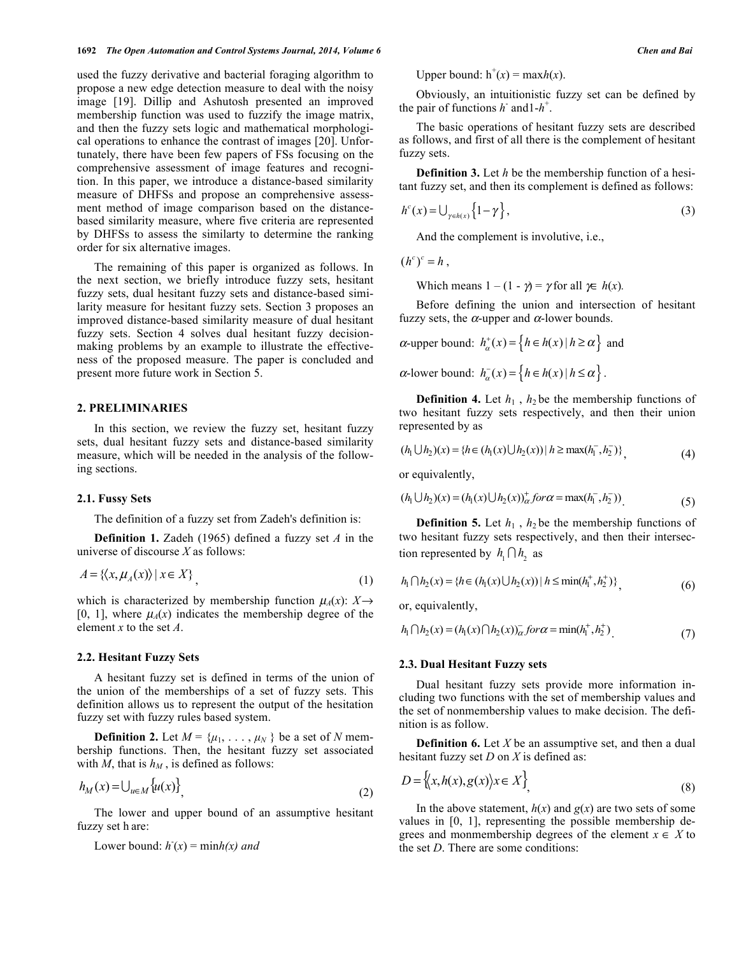used the fuzzy derivative and bacterial foraging algorithm to propose a new edge detection measure to deal with the noisy image [19]. Dillip and Ashutosh presented an improved membership function was used to fuzzify the image matrix, and then the fuzzy sets logic and mathematical morphological operations to enhance the contrast of images [20]. Unfortunately, there have been few papers of FSs focusing on the comprehensive assessment of image features and recognition. In this paper, we introduce a distance-based similarity measure of DHFSs and propose an comprehensive assessment method of image comparison based on the distancebased similarity measure, where five criteria are represented by DHFSs to assess the similarty to determine the ranking order for six alternative images.

The remaining of this paper is organized as follows. In the next section, we briefly introduce fuzzy sets, hesitant fuzzy sets, dual hesitant fuzzy sets and distance-based similarity measure for hesitant fuzzy sets. Section 3 proposes an improved distance-based similarity measure of dual hesitant fuzzy sets. Section 4 solves dual hesitant fuzzy decisionmaking problems by an example to illustrate the effectiveness of the proposed measure. The paper is concluded and present more future work in Section 5.

## **2. PRELIMINARIES**

In this section, we review the fuzzy set, hesitant fuzzy sets, dual hesitant fuzzy sets and distance-based similarity measure, which will be needed in the analysis of the following sections.

## **2.1. Fussy Sets**

The definition of a fuzzy set from Zadeh's definition is:

**Definition 1.** Zadeh (1965) defined a fuzzy set *A* in the universe of discourse *X* as follows:

$$
A = \{ \langle x, \mu_A(x) \rangle \mid x \in X \}
$$
\n<sup>(1)</sup>

which is characterized by membership function  $\mu_A(x)$ :  $X \rightarrow$ [0, 1], where  $\mu_A(x)$  indicates the membership degree of the element *x* to the set *A*.

## **2.2. Hesitant Fuzzy Sets**

A hesitant fuzzy set is defined in terms of the union of the union of the memberships of a set of fuzzy sets. This definition allows us to represent the output of the hesitation fuzzy set with fuzzy rules based system.

**Definition 2.** Let  $M = {\mu_1, \ldots, \mu_N}$  be a set of *N* membership functions. Then, the hesitant fuzzy set associated with  $M$ , that is  $h_M$ , is defined as follows:

$$
h_M(x) = \bigcup_{u \in M} \{u(x)\},\tag{2}
$$

The lower and upper bound of an assumptive hesitant fuzzy set h are:

Lower bound:  $h(x) = \min h(x)$  and

Upper bound:  $h^+(x) = \max h(x)$ .

Obviously, an intuitionistic fuzzy set can be defined by the pair of functions  $h^{\dagger}$  and  $1-h^{\dagger}$ .

The basic operations of hesitant fuzzy sets are described as follows, and first of all there is the complement of hesitant fuzzy sets.

**Definition 3.** Let *h* be the membership function of a hesitant fuzzy set, and then its complement is defined as follows:

$$
h^{c}(x) = \bigcup_{\gamma \in h(x)} \left\{ 1 - \gamma \right\},\tag{3}
$$

And the complement is involutive, i.e.,

 $(h<sup>c</sup>)<sup>c</sup> = h$ ,

Which means  $1 - (1 - \gamma) = \gamma$  for all  $\gamma \in h(x)$ .

Before defining the union and intersection of hesitant fuzzy sets, the  $\alpha$ -upper and  $\alpha$ -lower bounds.

 $\alpha$ -upper bound:  $h^+_{\alpha}(x) = \{h \in h(x) \mid h \ge \alpha\}$  and

 $\alpha$ -lower bound:  $h_{\alpha}^{-}(x) = \{h \in h(x) | h \leq \alpha\}$ .

**Definition 4.** Let  $h_1$ ,  $h_2$  be the membership functions of two hesitant fuzzy sets respectively, and then their union represented by as

$$
(h_1 \cup h_2)(x) = \{ h \in (h_1(x) \cup h_2(x)) \mid h \ge \max(h_1^-, h_2^-) \}
$$
\n<sup>(4)</sup>

or equivalently,

$$
(h_1 \cup h_2)(x) = (h_1(x) \cup h_2(x))_{\alpha}^{+} \text{ for } \alpha = \max(h_1^-, h_2^-))
$$
\n(5)

**Definition 5.** Let  $h_1$ ,  $h_2$  be the membership functions of two hesitant fuzzy sets respectively, and then their intersection represented by  $h_1 \cap h_2$  as

$$
h_1 \cap h_2(x) = \{ h \in (h_1(x) \cup h_2(x)) \mid h \le \min(h_1^+, h_2^+) \} \tag{6}
$$

or, equivalently,

$$
h_1 \cap h_2(x) = (h_1(x) \cap h_2(x))_{\alpha}^{T} \text{ for } \alpha = \min(h_1^+, h_2^+) \tag{7}
$$

#### **2.3. Dual Hesitant Fuzzy sets**

Dual hesitant fuzzy sets provide more information including two functions with the set of membership values and the set of nonmembership values to make decision. The definition is as follow.

**Definition 6.** Let *X* be an assumptive set, and then a dual hesitant fuzzy set *D* on *X* is defined as:

$$
D = \left\{ \langle x, h(x), g(x) \rangle x \in X \right\},\tag{8}
$$

In the above statement,  $h(x)$  and  $g(x)$  are two sets of some values in [0, 1], representing the possible membership degrees and monmembership degrees of the element  $x \in X$  to the set *D*. There are some conditions: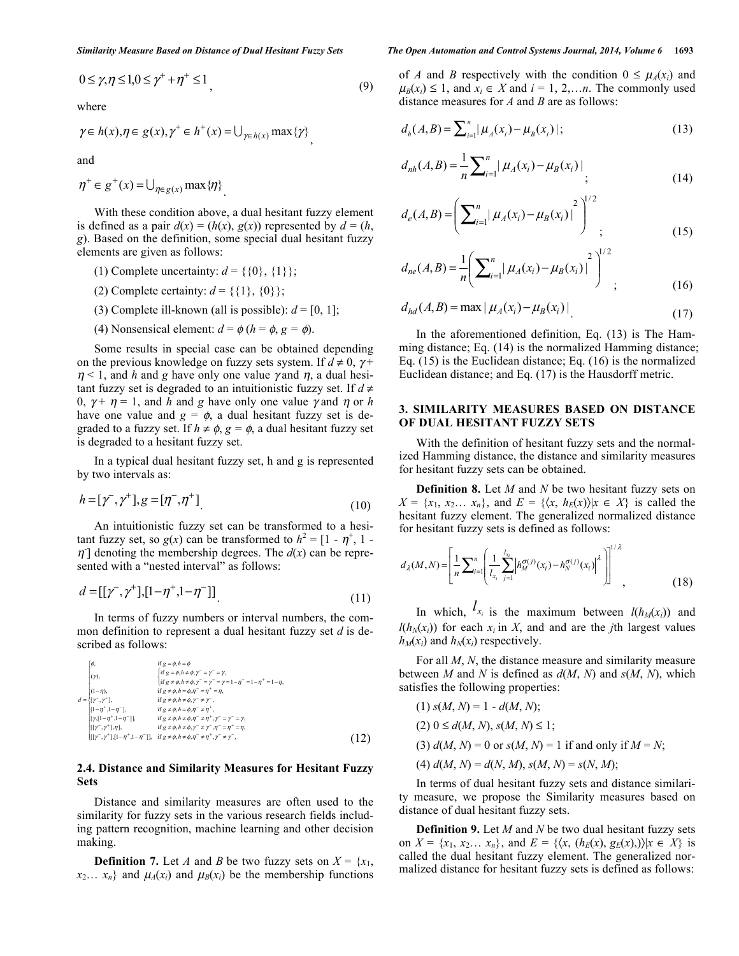$$
0 \le \gamma, \eta \le 1, 0 \le \gamma^+ + \eta^+ \le 1 \tag{9}
$$

where

$$
\gamma \in h(x), \eta \in g(x), \gamma^+ \in h^+(x) = \bigcup_{\gamma \in h(x)} \max \{ \gamma \},
$$

and

$$
\eta^+ \in g^+(x) = \bigcup_{\eta \in g(x)} \max \{\eta\}
$$

With these condition above, a dual hesitant fuzzy element is defined as a pair  $d(x) = (h(x), g(x))$  represented by  $d = (h,$ *g*). Based on the definition, some special dual hesitant fuzzy elements are given as follows:

- (1) Complete uncertainty:  $d = \{ \{0\}, \{1\} \};$
- (2) Complete certainty:  $d = \{\{1\}, \{0\}\};$
- (3) Complete ill-known (all is possible):  $d = [0, 1]$ ;
- (4) Nonsensical element:  $d = \phi (h = \phi, g = \phi)$ .

Some results in special case can be obtained depending on the previous knowledge on fuzzy sets system. If  $d \neq 0$ ,  $\gamma$ +  $\eta$  < 1, and *h* and *g* have only one value *y* and *n*, a dual hesitant fuzzy set is degraded to an intuitionistic fuzzy set. If  $d \neq$ 0,  $\gamma + \eta = 1$ , and *h* and *g* have only one value  $\gamma$  and  $\eta$  or *h* have one value and  $g = \phi$ , a dual hesitant fuzzy set is degraded to a fuzzy set. If  $h \neq \phi$ ,  $g = \phi$ , a dual hesitant fuzzy set is degraded to a hesitant fuzzy set.

In a typical dual hesitant fuzzy set, h and g is represented by two intervals as:

$$
h = [\gamma^-, \gamma^+] , g = [\eta^-, \eta^+]
$$
\n(10)

An intuitionistic fuzzy set can be transformed to a hesitant fuzzy set, so  $g(x)$  can be transformed to  $h^2 = [1 - \eta^+, 1 - \eta^+]$  $\eta$ ] denoting the membership degrees. The  $d(x)$  can be represented with a "nested interval" as follows:

$$
d = [[\gamma^-, \gamma^+], [1 - \eta^+, 1 - \eta^-]] \tag{11}
$$

In terms of fuzzy numbers or interval numbers, the common definition to represent a dual hesitant fuzzy set *d* is described as follows:

$$
\begin{array}{lll}\n\phi, & \text{if } g = \phi, h = \phi \\
\text{(r)}, & \text{if } g = \phi, h = \phi, \gamma = \gamma = \gamma, \\
\text{if } g = \phi, h = \phi, \gamma = \gamma = \gamma = 1 - \eta^{-} = 1 - \eta^{+} = 1 - \eta, \\
\text{(1- $\eta$ )} & \text{if } g \neq \phi, h = \phi, \eta^{-} = \eta^{-} = \eta, \\
\text{(1- $\eta$ )} & \text{if } g \neq \phi, h = \phi, \gamma = \gamma^{-} = \gamma, \\
\text{(1- $\eta^{-} + 1, - \eta^{-} + 1}, & \text{if } g \neq \phi, h = \phi, \eta^{-} = \eta^{+}, \\
\text{(r)} & \text{(r)} & \text{(r)} & \text{(r)} & \text{(r)} & \text{(r)} & \text{(r)} & \text{(r)} & \text{(r)} & \text{(r)} \\
\text{(r)} & \text{(r)} & \text{(r)} & \text{(r)} & \text{(r)} & \text{(r)} & \text{(r)} & \text{(r)} & \text{(r)} & \text{(r)} & \text{(r)} \\
\text{(r)} & \text{(r)} & \text{(r)} & \text{(r)} & \text{(r)} & \text{(r)} & \text{(r)} & \text{(r)} & \text{(r)} & \text{(r)} \\
\text{(r)} & \text{(r)} & \text{(r)} & \text{(r)} & \text{(r)} & \text{(r)} & \text{(r)} & \text{(r)} & \text{(r)} & \text{(r)} \\
\text{(r)} & \text{(r)} & \text{(r)} & \text{(r)} & \text{(r)} & \text{(r)} & \text{(r)} & \text{(r)} & \text{(r)} & \text{(r)} & \text{(r)} \\
\text{(r)} & \text{(r)} & \text{(r)} & \text{(r)} & \text{(r)} & \text{(r)} & \text{(r)} & \text{(r)} & \text{(r)} & \text{(r)} & \text{(r)} & \text{(r)} \\
\text$
$$

# **2.4. Distance and Similarity Measures for Hesitant Fuzzy Sets**

Distance and similarity measures are often used to the similarity for fuzzy sets in the various research fields including pattern recognition, machine learning and other decision making.

**Definition 7.** Let *A* and *B* be two fuzzy sets on  $X = \{x_1, x_2, \dots, x_n\}$  $x_2... x_n$ } and  $\mu_A(x_i)$  and  $\mu_B(x_i)$  be the membership functions

### *Similarity Measure Based on Distance of Dual Hesitant Fuzzy Sets The Open Automation and Control Systems Journal, 2014, Volume 6* **1693**

of *A* and *B* respectively with the condition  $0 \leq \mu_A(x_i)$  and  $\mu_B(x_i) \leq 1$ , and  $x_i \in X$  and  $i = 1, 2, \ldots n$ . The commonly used distance measures for *A* and *B* are as follows:

$$
d_h(A, B) = \sum_{i=1}^n |\mu_A(x_i) - \mu_B(x_i)|;
$$
 (13)

$$
d_{nh}(A,B) = \frac{1}{n} \sum_{i=1}^{n} |\mu_A(x_i) - \mu_B(x_i)|
$$
 (14)

$$
d_e(A, B) = \left(\sum_{i=1}^n |\mu_A(x_i) - \mu_B(x_i)|^2\right)^{1/2};
$$
\n(15)

$$
d_{ne}(A,B) = \frac{1}{n} \left( \sum_{i=1}^{n} | \mu_A(x_i) - \mu_B(x_i) |^2 \right)^{1/2};
$$
 (16)

$$
d_{hd}(A, B) = \max | \mu_A(x_i) - \mu_B(x_i) |
$$
 (17)

In the aforementioned definition, Eq. (13) is The Hamming distance; Eq. (14) is the normalized Hamming distance; Eq. (15) is the Euclidean distance; Eq. (16) is the normalized Euclidean distance; and Eq. (17) is the Hausdorff metric.

# **3. SIMILARITY MEASURES BASED ON DISTANCE OF DUAL HESITANT FUZZY SETS**

With the definition of hesitant fuzzy sets and the normalized Hamming distance, the distance and similarity measures for hesitant fuzzy sets can be obtained.

**Definition 8.** Let *M* and *N* be two hesitant fuzzy sets on  $X = \{x_1, x_2, \ldots, x_n\}$ , and  $E = \{\langle x, h_E(x) \rangle | x \in X\}$  is called the hesitant fuzzy element. The generalized normalized distance for hesitant fuzzy sets is defined as follows:

$$
d_{\lambda}(M,N) = \left[ \frac{1}{n} \sum_{i=1}^{n} \left( \frac{1}{l_{x_i}} \sum_{j=1}^{l_{x_i}} \left| h_M^{\sigma(j)}(x_i) - h_N^{\sigma(j)}(x_i) \right|^{\lambda} \right) \right]^{1/\lambda},
$$
(18)

In which,  $l_{x_i}$  is the maximum between  $l(h_M(x_i))$  and  $l(h_N(x_i))$  for each  $x_i$  in X, and and are the *j*th largest values  $h_M(x_i)$  and  $h_N(x_i)$  respectively.

For all *M*, *N*, the distance measure and similarity measure between *M* and *N* is defined as *d*(*M*, *N*) and *s*(*M*, *N*), which satisfies the following properties:

 $(1)$  *s*(*M*, *N*) = 1 - *d*(*M*, *N*);  $(2)$   $0 \le d(M, N), s(M, N) \le 1$ ; (3)  $d(M, N) = 0$  or  $s(M, N) = 1$  if and only if  $M = N$ ;  $d(M, N) = d(N, M), s(M, N) = s(N, M);$ 

In terms of dual hesitant fuzzy sets and distance similarity measure, we propose the Similarity measures based on distance of dual hesitant fuzzy sets.

**Definition 9.** Let *M* and *N* be two dual hesitant fuzzy sets on *X* = { $x_1, x_2... x_n$ }, and *E* = { $\langle x, (h_E(x), g_E(x)) \rangle | x \in X$ } is called the dual hesitant fuzzy element. The generalized normalized distance for hesitant fuzzy sets is defined as follows: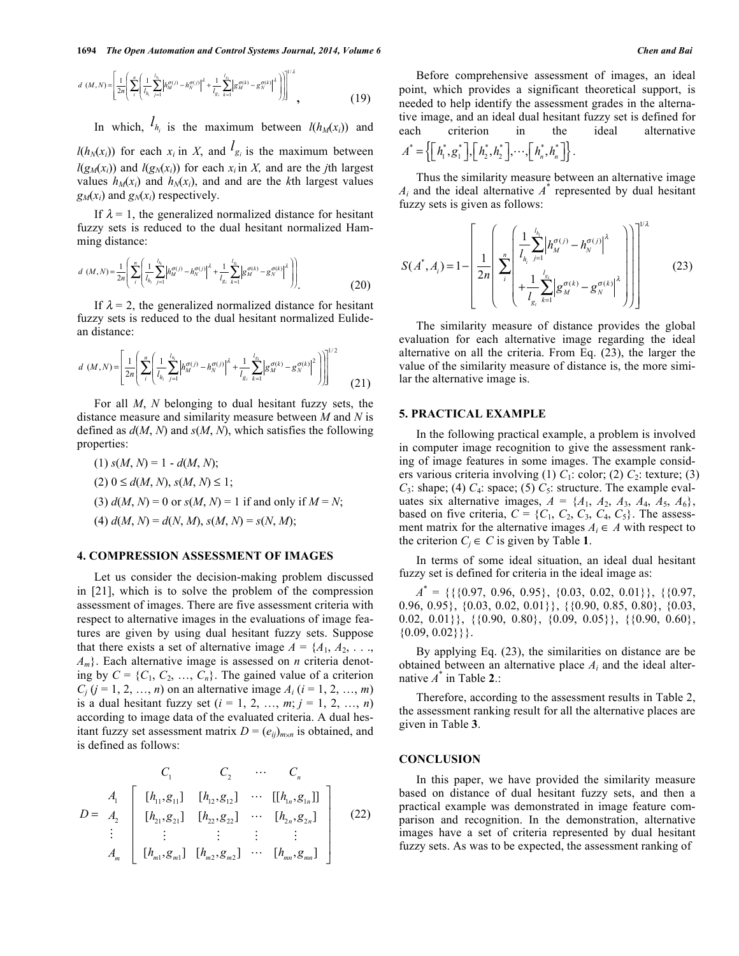$$
d\left(M,N\right) = \left[ \frac{1}{2n} \left( \sum_{i}^{n} \left( \frac{1}{l_{h_i}} \sum_{j=1}^{l_{h_i}} \left| h_M^{\sigma(j)} - h_N^{\sigma(j)} \right|^{\lambda} + \frac{1}{l_{g_i}} \sum_{k=1}^{l_{g_i}} \left| g_M^{\sigma(k)} - g_N^{\sigma(k)} \right|^{\lambda} \right) \right] \right]^{1/\lambda},
$$
(19)

In which,  $l_{h_i}$  is the maximum between  $l(h_M(x_i))$  and

 $l(h_N(x_i))$  for each  $x_i$  in X, and  $l_{g_i}$  is the maximum between  $l(g_M(x_i))$  and  $l(g_N(x_i))$  for each  $x_i$  in *X*, and are the *j*th largest values  $h_M(x_i)$  and  $h_N(x_i)$ , and and are the *k*th largest values  $g_M(x_i)$  and  $g_N(x_i)$  respectively.

If  $\lambda = 1$ , the generalized normalized distance for hesitant fuzzy sets is reduced to the dual hesitant normalized Hamming distance:

$$
d(M,N) = \frac{1}{2n} \left( \sum_{i}^{n} \left( \frac{1}{l_{h_i}} \sum_{j=1}^{l_{h_i}} \left| h_M^{\sigma(j)} - h_N^{\sigma(j)} \right|^{\lambda} + \frac{1}{l_{g_i}} \sum_{k=1}^{l_{g_i}} \left| g_M^{\sigma(k)} - g_N^{\sigma(k)} \right|^{\lambda} \right) \right)
$$
(20)

If  $\lambda = 2$ , the generalized normalized distance for hesitant fuzzy sets is reduced to the dual hesitant normalized Eulidean distance:

$$
d\ (M,N) = \left[ \frac{1}{2n} \left( \sum_{i}^{n} \left( \frac{1}{l_{h_i}} \sum_{j=1}^{l_{h_i}} \left| h_M^{\sigma(j)} - h_N^{\sigma(j)} \right|^2 + \frac{1}{l_{g_i}} \sum_{k=1}^{l_{g_i}} \left| g_M^{\sigma(k)} - g_N^{\sigma(k)} \right|^2 \right) \right] \right]^{1/2} \tag{21}
$$

For all *M*, *N* belonging to dual hesitant fuzzy sets, the distance measure and similarity measure between *M* and *N* is defined as *d*(*M*, *N*) and *s*(*M*, *N*), which satisfies the following properties:

\n- (1) 
$$
s(M, N) = 1 - d(M, N);
$$
\n- (2)  $0 \leq d(M, N), s(M, N) \leq 1;$
\n- (3)  $d(M, N) = 0$  or  $s(M, N) = 1$  if and only if  $M = N;$
\n- (4)  $d(M, N) = d(N, M), s(M, N) = s(N, M);$
\n

# **4. COMPRESSION ASSESSMENT OF IMAGES**

Let us consider the decision-making problem discussed in [21], which is to solve the problem of the compression assessment of images. There are five assessment criteria with respect to alternative images in the evaluations of image features are given by using dual hesitant fuzzy sets. Suppose that there exists a set of alternative image  $A = \{A_1, A_2, \ldots, A_n\}$ *Am*}. Each alternative image is assessed on *n* criteria denoting by  $C = \{C_1, C_2, ..., C_n\}$ . The gained value of a criterion  $C_j$  (*j* = 1, 2, …, *n*) on an alternative image  $A_i$  (*i* = 1, 2, …, *m*) is a dual hesitant fuzzy set  $(i = 1, 2, ..., m; j = 1, 2, ..., n)$ according to image data of the evaluated criteria. A dual hesitant fuzzy set assessment matrix  $D = (e_{ij})_{m \times n}$  is obtained, and is defined as follows:

$$
D = \begin{bmatrix} A_1 & C_1 & \cdots & C_n \\ A_2 & \begin{bmatrix} [h_{11}, g_{11}] & [h_{12}, g_{12}] & \cdots & [h_{1n}, g_{1n}] \end{bmatrix} \\ B = \begin{bmatrix} A_2 \\ A_3 \\ \vdots \\ A_m \end{bmatrix} & \begin{bmatrix} [h_{21}, g_{21}] & [h_{22}, g_{22}] & \cdots & [h_{2n}, g_{2n}] \\ \vdots & \vdots & \vdots & \vdots \\ [h_{m1}, g_{m1}] & [h_{m2}, g_{m2}] & \cdots & [h_{mn}, g_{mn}] \end{bmatrix} \end{bmatrix}
$$
(22)

Before comprehensive assessment of images, an ideal point, which provides a significant theoretical support, is needed to help identify the assessment grades in the alternative image, and an ideal dual hesitant fuzzy set is defined for each criterion in the ideal alternative  $A^* = \left\{ \left[ h_1^*, g_1^* \right], \left[ h_2^*, h_2^* \right], \cdots, \left[ h_n^*, h_n^* \right] \right\}.$ 

Thus the similarity measure between an alternative image  $A_i$  and the ideal alternative  $A^*$  represented by dual hesitant fuzzy sets is given as follows:

$$
S(A^*, A_i) = 1 - \left[ \frac{1}{2n} \left( \sum_{i}^{n} \left( \frac{1}{l_{h_i}} \sum_{j=1}^{l_{h_i}} \left| h_M^{\sigma(j)} - h_N^{\sigma(j)} \right|^{\lambda} - h_N^{\sigma(j)} \right|^{\lambda} \right) \right]^{1/\lambda}
$$
(23)

The similarity measure of distance provides the global evaluation for each alternative image regarding the ideal alternative on all the criteria. From Eq. (23), the larger the value of the similarity measure of distance is, the more similar the alternative image is.

## **5. PRACTICAL EXAMPLE**

In the following practical example, a problem is involved in computer image recognition to give the assessment ranking of image features in some images. The example considers various criteria involving (1)  $C_1$ : color; (2)  $C_2$ : texture; (3)  $C_3$ : shape; (4)  $C_4$ : space; (5)  $C_5$ : structure. The example evaluates six alternative images,  $A = \{A_1, A_2, A_3, A_4, A_5, A_6\}$ , based on five criteria,  $C = \{C_1, C_2, C_3, C_4, C_5\}$ . The assessment matrix for the alternative images  $A_i \in A$  with respect to the criterion  $C_j \in C$  is given by Table 1.

In terms of some ideal situation, an ideal dual hesitant fuzzy set is defined for criteria in the ideal image as:

 $A^* = \{\{\{0.97, 0.96, 0.95\}, \{0.03, 0.02, 0.01\}\}, \{\{0.97,$ 0.96, 0.95}, {0.03, 0.02, 0.01}}, {{0.90, 0.85, 0.80}, {0.03, 0.02, 0.01}},  $\{\{0.90, 0.80\}, \{0.09, 0.05\}\}, \{\{0.90, 0.60\},\$  $\{0.09, 0.02\}\}.$ 

By applying Eq. (23), the similarities on distance are be obtained between an alternative place *Ai* and the ideal alternative *A*\* in Table **2**.:

Therefore, according to the assessment results in Table 2, the assessment ranking result for all the alternative places are given in Table **3**.

## **CONCLUSION**

In this paper, we have provided the similarity measure based on distance of dual hesitant fuzzy sets, and then a practical example was demonstrated in image feature comparison and recognition. In the demonstration, alternative images have a set of criteria represented by dual hesitant fuzzy sets. As was to be expected, the assessment ranking of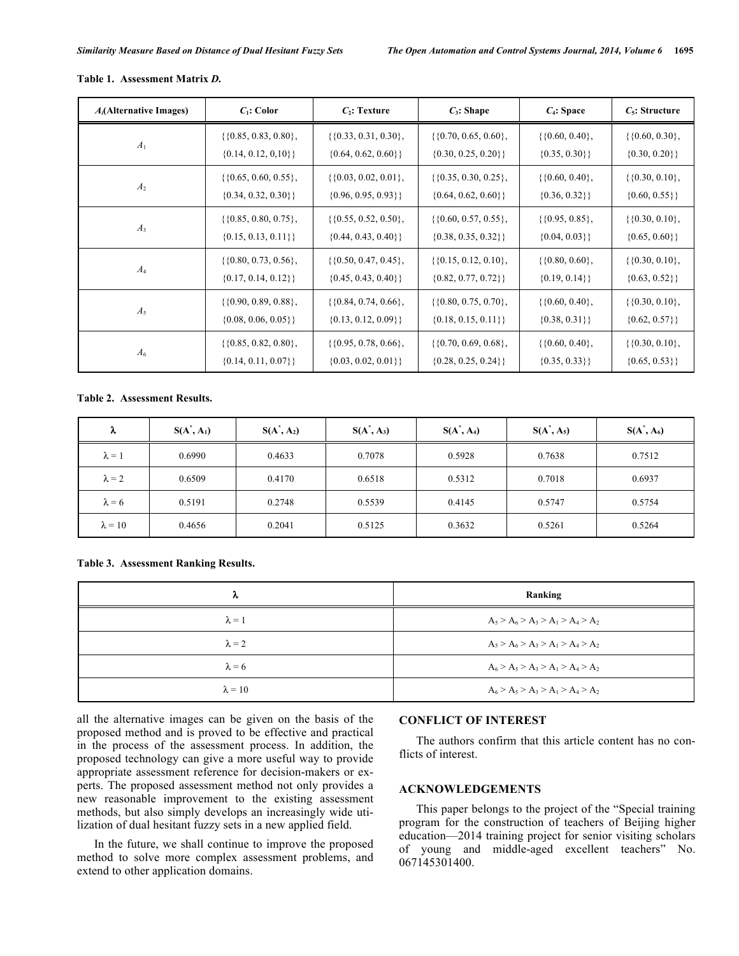| $A_i$ (Alternative Images) | $C_1$ : Color                  | $C_2$ : Texture            | $C_3$ : Shape              | $C_4$ : Space        | $C_5$ : Structure       |
|----------------------------|--------------------------------|----------------------------|----------------------------|----------------------|-------------------------|
| $A_1$                      | $\{ \{0.85, 0.83, 0.80 \}, \}$ | $\{\{0.33, 0.31, 0.30\},\$ | $\{\{0.70, 0.65, 0.60\},\$ | $\{\{0.60, 0.40\},\$ | $\{\{0.60, 0.30\},\$    |
|                            | $\{0.14, 0.12, 0.10\}$         | $\{0.64, 0.62, 0.60\}\}$   | $\{0.30, 0.25, 0.20\}\}$   | $\{0.35, 0.30\}\}$   | $\{0.30, 0.20\}\}$      |
| A <sub>2</sub>             | $\{\{0.65, 0.60, 0.55\},\$     | $\{\{0.03, 0.02, 0.01\},\$ | $\{\{0.35, 0.30, 0.25\},\$ | $\{\{0.60, 0.40\},\$ | $\{ \{0.30, 0.10 \}, \$ |
|                            | $\{0.34, 0.32, 0.30\}\}$       | $\{0.96, 0.95, 0.93\}\}$   | $\{0.64, 0.62, 0.60\}\}$   | $\{0.36, 0.32\}\}$   | $\{0.60, 0.55\}\}$      |
| $A_3$                      | $\{\{0.85, 0.80, 0.75\},\$     | $\{\{0.55, 0.52, 0.50\},\$ | $\{\{0.60, 0.57, 0.55\},\$ | $\{\{0.95, 0.85\},\$ | $\{\{0.30, 0.10\},\$    |
|                            | $\{0.15, 0.13, 0.11\}\}$       | $\{0.44, 0.43, 0.40\}\}$   | $\{0.38, 0.35, 0.32\}\}$   | $\{0.04, 0.03\}\}$   | $\{0.65, 0.60\}\}$      |
| $A_4$                      | $\{\{0.80, 0.73, 0.56\},\$     | $\{\{0.50, 0.47, 0.45\},\$ | $\{\{0.15, 0.12, 0.10\},\$ | $\{\{0.80, 0.60\},\$ | $\{\{0.30, 0.10\},\$    |
|                            | $\{0.17, 0.14, 0.12\}\}$       | $\{0.45, 0.43, 0.40\}\}$   | $\{0.82, 0.77, 0.72\}\}$   | $\{0.19, 0.14\}\}$   | $\{0.63, 0.52\}\}$      |
| $A_5$                      | $\{ \{0.90, 0.89, 0.88 \}, \}$ | $\{\{0.84, 0.74, 0.66\},\$ | $\{\{0.80, 0.75, 0.70\},\$ | $\{\{0.60, 0.40\},\$ | $\{ \{0.30, 0.10 \}, \$ |
|                            | $\{0.08, 0.06, 0.05\}\}$       | $\{0.13, 0.12, 0.09\}\}$   | $\{0.18, 0.15, 0.11\}$     | $\{0.38, 0.31\}\}$   | $\{0.62, 0.57\}\}$      |
| $A_6$                      | $\{ \{0.85, 0.82, 0.80 \}, \}$ | $\{\{0.95, 0.78, 0.66\},\$ | $\{\{0.70, 0.69, 0.68\},\$ | $\{\{0.60, 0.40\},\$ | $\{\{0.30, 0.10\},\$    |
|                            | $\{0.14, 0.11, 0.07\}\}$       | $\{0.03, 0.02, 0.01\}\}$   | $\{0.28, 0.25, 0.24\}\}$   | $\{0.35, 0.33\}\}$   | $\{0.65, 0.53\}\}$      |

#### **Table 1. Assessment Matrix** *D.*

# **Table 2. Assessment Results.**

| λ              | $S(A^*, A_1)$ | $S(A^*, A_2)$ | $S(A^*, A_3)$ | $S(A^*, A_4)$ | $S(A^*, A_5)$ | $S(A^*, A_6)$ |
|----------------|---------------|---------------|---------------|---------------|---------------|---------------|
| $\lambda = 1$  | 0.6990        | 0.4633        | 0.7078        | 0.5928        | 0.7638        | 0.7512        |
| $\lambda = 2$  | 0.6509        | 0.4170        | 0.6518        | 0.5312        | 0.7018        | 0.6937        |
| $\lambda = 6$  | 0.5191        | 0.2748        | 0.5539        | 0.4145        | 0.5747        | 0.5754        |
| $\lambda = 10$ | 0.4656        | 0.2041        | 0.5125        | 0.3632        | 0.5261        | 0.5264        |

# **Table 3. Assessment Ranking Results.**

| λ              | Ranking                             |
|----------------|-------------------------------------|
| $\lambda = 1$  | $A_5 > A_6 > A_3 > A_1 > A_4 > A_2$ |
| $\lambda = 2$  | $A_5 > A_6 > A_3 > A_1 > A_4 > A_2$ |
| $\lambda = 6$  | $A_6 > A_5 > A_3 > A_1 > A_4 > A_2$ |
| $\lambda = 10$ | $A_6 > A_5 > A_3 > A_1 > A_4 > A_2$ |

all the alternative images can be given on the basis of the proposed method and is proved to be effective and practical in the process of the assessment process. In addition, the proposed technology can give a more useful way to provide appropriate assessment reference for decision-makers or experts. The proposed assessment method not only provides a new reasonable improvement to the existing assessment methods, but also simply develops an increasingly wide utilization of dual hesitant fuzzy sets in a new applied field.

In the future, we shall continue to improve the proposed method to solve more complex assessment problems, and extend to other application domains.

# **CONFLICT OF INTEREST**

The authors confirm that this article content has no conflicts of interest.

# **ACKNOWLEDGEMENTS**

This paper belongs to the project of the "Special training program for the construction of teachers of Beijing higher education—2014 training project for senior visiting scholars of young and middle-aged excellent teachers" No. 067145301400.